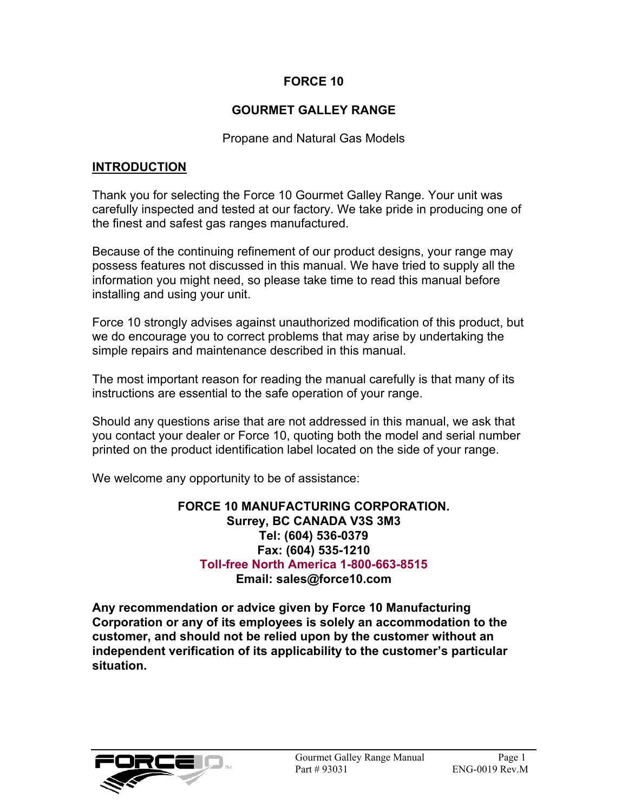#### **FORCE 10**

#### **GOURMET GALLEY RANGE**

#### Propane and Natural Gas Models

#### **INTRODUCTION**

Thank you for selecting the Force 10 Gourmet Galley Range. Your unit was carefully inspected and tested at our factory. We take pride in producing one of the finest and safest gas ranges manufactured.

Because of the continuing refinement of our product designs, your range may possess features not discussed in this manual. We have tried to supply all the information you might need, so please take time to read this manual before installing and using your unit.

Force 10 strongly advises against unauthorized modification of this product, but we do encourage you to correct problems that may arise by undertaking the simple repairs and maintenance described in this manual.

The most important reason for reading the manual carefully is that many of its instructions are essential to the safe operation of your range.

Should any questions arise that are not addressed in this manual, we ask that you contact your dealer or Force 10, quoting both the model and serial number printed on the product identification label located on the side of your range.

We welcome any opportunity to be of assistance:

#### **FORCE 10 MANUFACTURING CORPORATION. Surrey, BC CANADA V3S 3M3 Tel: (604) 536-0379 Fax: (604) 535-1210 Toll-free North America 1-800-663-8515 Email: sales@force10.com**

**Any recommendation or advice given by Force 10 Manufacturing Corporation or any of its employees is solely an accommodation to the customer, and should not be relied upon by the customer without an independent verification of its applicability to the customer's particular situation.**

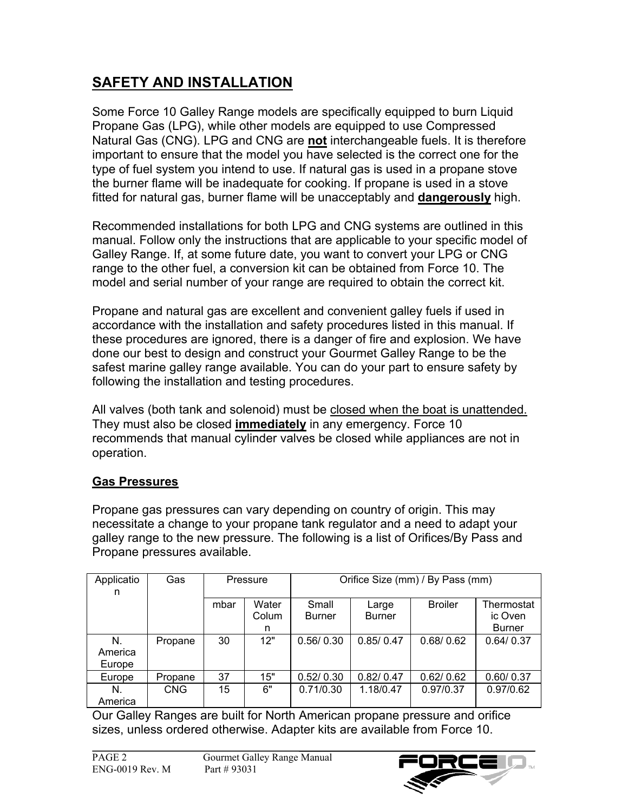# **SAFETY AND INSTALLATION**

Some Force 10 Galley Range models are specifically equipped to burn Liquid Propane Gas (LPG), while other models are equipped to use Compressed Natural Gas (CNG). LPG and CNG are **not** interchangeable fuels. It is therefore important to ensure that the model you have selected is the correct one for the type of fuel system you intend to use. If natural gas is used in a propane stove the burner flame will be inadequate for cooking. If propane is used in a stove fitted for natural gas, burner flame will be unacceptably and **dangerously** high.

Recommended installations for both LPG and CNG systems are outlined in this manual. Follow only the instructions that are applicable to your specific model of Galley Range. If, at some future date, you want to convert your LPG or CNG range to the other fuel, a conversion kit can be obtained from Force 10. The model and serial number of your range are required to obtain the correct kit.

Propane and natural gas are excellent and convenient galley fuels if used in accordance with the installation and safety procedures listed in this manual. If these procedures are ignored, there is a danger of fire and explosion. We have done our best to design and construct your Gourmet Galley Range to be the safest marine galley range available. You can do your part to ensure safety by following the installation and testing procedures.

All valves (both tank and solenoid) must be closed when the boat is unattended. They must also be closed **immediately** in any emergency. Force 10 recommends that manual cylinder valves be closed while appliances are not in operation.

### **Gas Pressures**

Propane gas pressures can vary depending on country of origin. This may necessitate a change to your propane tank regulator and a need to adapt your galley range to the new pressure. The following is a list of Orifices/By Pass and Propane pressures available.

| Applicatio<br>n         | Gas        | Pressure |                     | Orifice Size (mm) / By Pass (mm) |                        |                |                                        |
|-------------------------|------------|----------|---------------------|----------------------------------|------------------------|----------------|----------------------------------------|
|                         |            | mbar     | Water<br>Colum<br>n | Small<br><b>Burner</b>           | Large<br><b>Burner</b> | <b>Broiler</b> | Thermostat<br>ic Oven<br><b>Burner</b> |
| N.<br>America<br>Europe | Propane    | 30       | 12"                 | 0.56/0.30                        | 0.85/0.47              | 0.68/0.62      | 0.64/0.37                              |
| Europe                  | Propane    | 37       | 15"                 | 0.52/0.30                        | 0.82/0.47              | 0.62/0.62      | 0.60/0.37                              |
| N.<br>America           | <b>CNG</b> | 15       | 6"                  | 0.71/0.30                        | 1.18/0.47              | 0.97/0.37      | 0.97/0.62                              |

Our Galley Ranges are built for North American propane pressure and orifice sizes, unless ordered otherwise. Adapter kits are available from Force 10.

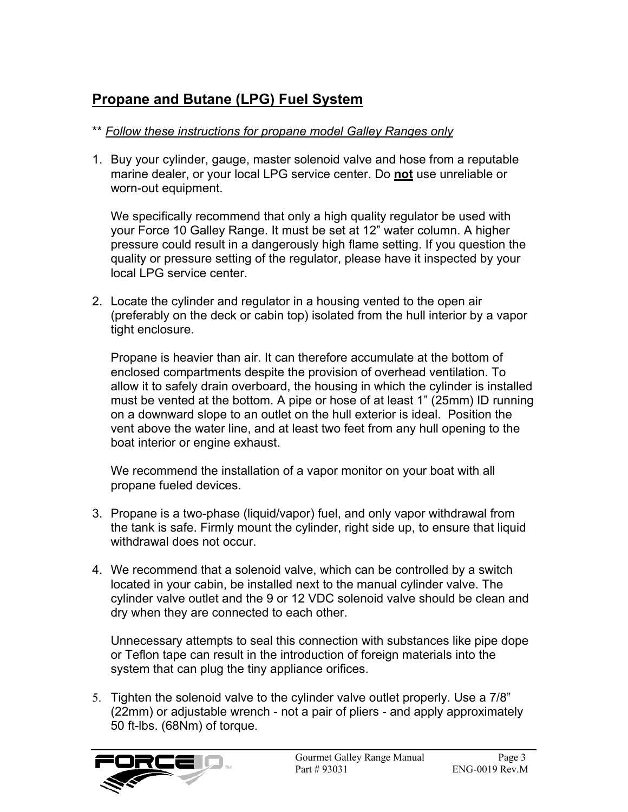## **Propane and Butane (LPG) Fuel System**

#### \*\* *Follow these instructions for propane model Galley Ranges only*

1. Buy your cylinder, gauge, master solenoid valve and hose from a reputable marine dealer, or your local LPG service center. Do **not** use unreliable or worn-out equipment.

We specifically recommend that only a high quality regulator be used with your Force 10 Galley Range. It must be set at 12" water column. A higher pressure could result in a dangerously high flame setting. If you question the quality or pressure setting of the regulator, please have it inspected by your local LPG service center.

2. Locate the cylinder and regulator in a housing vented to the open air (preferably on the deck or cabin top) isolated from the hull interior by a vapor tight enclosure.

Propane is heavier than air. It can therefore accumulate at the bottom of enclosed compartments despite the provision of overhead ventilation. To allow it to safely drain overboard, the housing in which the cylinder is installed must be vented at the bottom. A pipe or hose of at least 1" (25mm) ID running on a downward slope to an outlet on the hull exterior is ideal. Position the vent above the water line, and at least two feet from any hull opening to the boat interior or engine exhaust.

We recommend the installation of a vapor monitor on your boat with all propane fueled devices.

- 3. Propane is a two-phase (liquid/vapor) fuel, and only vapor withdrawal from the tank is safe. Firmly mount the cylinder, right side up, to ensure that liquid withdrawal does not occur.
- 4. We recommend that a solenoid valve, which can be controlled by a switch located in your cabin, be installed next to the manual cylinder valve. The cylinder valve outlet and the 9 or 12 VDC solenoid valve should be clean and dry when they are connected to each other.

Unnecessary attempts to seal this connection with substances like pipe dope or Teflon tape can result in the introduction of foreign materials into the system that can plug the tiny appliance orifices.

5. Tighten the solenoid valve to the cylinder valve outlet properly. Use a 7/8" (22mm) or adjustable wrench - not a pair of pliers - and apply approximately 50 ft-lbs. (68Nm) of torque.

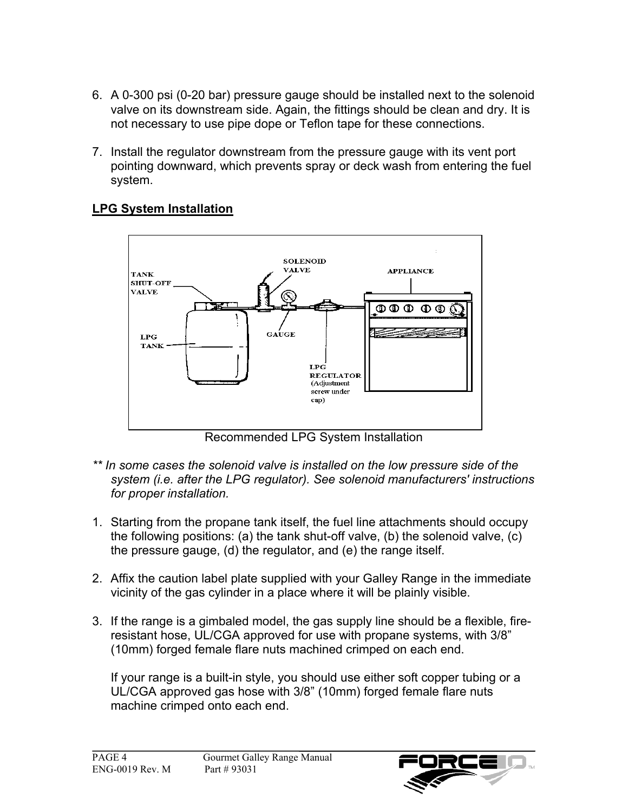- 6. A 0-300 psi (0-20 bar) pressure gauge should be installed next to the solenoid valve on its downstream side. Again, the fittings should be clean and dry. It is not necessary to use pipe dope or Teflon tape for these connections.
- 7. Install the regulator downstream from the pressure gauge with its vent port pointing downward, which prevents spray or deck wash from entering the fuel system.

### **LPG System Installation**



Recommended LPG System Installation

- *\*\* In some cases the solenoid valve is installed on the low pressure side of the system (i.e. after the LPG regulator). See solenoid manufacturers' instructions for proper installation.*
- 1. Starting from the propane tank itself, the fuel line attachments should occupy the following positions: (a) the tank shut-off valve, (b) the solenoid valve, (c) the pressure gauge, (d) the regulator, and (e) the range itself.
- 2. Affix the caution label plate supplied with your Galley Range in the immediate vicinity of the gas cylinder in a place where it will be plainly visible.
- 3. If the range is a gimbaled model, the gas supply line should be a flexible, fireresistant hose, UL/CGA approved for use with propane systems, with 3/8" (10mm) forged female flare nuts machined crimped on each end.

If your range is a built-in style, you should use either soft copper tubing or a UL/CGA approved gas hose with 3/8" (10mm) forged female flare nuts machine crimped onto each end.

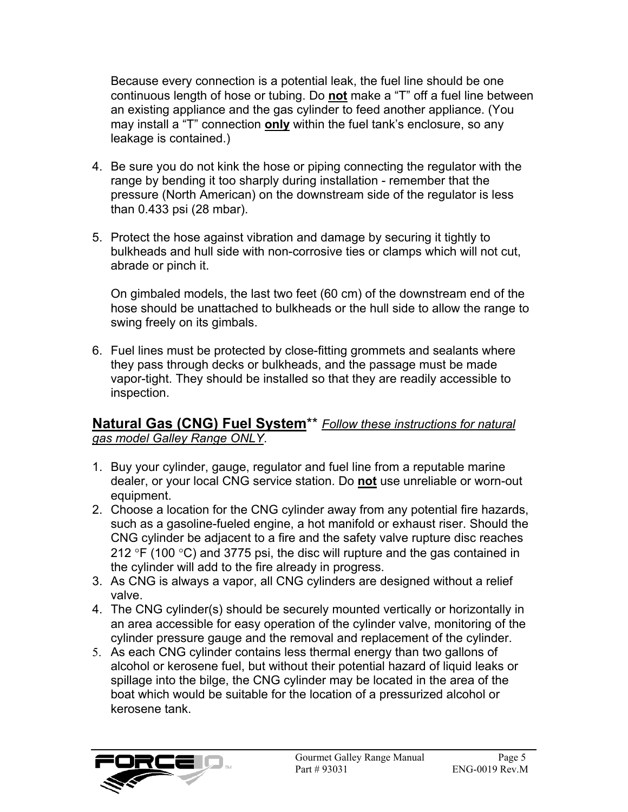Because every connection is a potential leak, the fuel line should be one continuous length of hose or tubing. Do **not** make a "T" off a fuel line between an existing appliance and the gas cylinder to feed another appliance. (You may install a "T" connection **only** within the fuel tank's enclosure, so any leakage is contained.)

- 4. Be sure you do not kink the hose or piping connecting the regulator with the range by bending it too sharply during installation - remember that the pressure (North American) on the downstream side of the regulator is less than 0.433 psi (28 mbar).
- 5. Protect the hose against vibration and damage by securing it tightly to bulkheads and hull side with non-corrosive ties or clamps which will not cut, abrade or pinch it.

On gimbaled models, the last two feet (60 cm) of the downstream end of the hose should be unattached to bulkheads or the hull side to allow the range to swing freely on its gimbals.

6. Fuel lines must be protected by close-fitting grommets and sealants where they pass through decks or bulkheads, and the passage must be made vapor-tight. They should be installed so that they are readily accessible to inspection.

### **Natural Gas (CNG) Fuel System**\*\* *Follow these instructions for natural gas model Galley Range ONLY*.

- 1. Buy your cylinder, gauge, regulator and fuel line from a reputable marine dealer, or your local CNG service station. Do **not** use unreliable or worn-out equipment.
- 2. Choose a location for the CNG cylinder away from any potential fire hazards, such as a gasoline-fueled engine, a hot manifold or exhaust riser. Should the CNG cylinder be adjacent to a fire and the safety valve rupture disc reaches 212  $\degree$ F (100  $\degree$ C) and 3775 psi, the disc will rupture and the gas contained in the cylinder will add to the fire already in progress.
- 3. As CNG is always a vapor, all CNG cylinders are designed without a relief valve.
- 4. The CNG cylinder(s) should be securely mounted vertically or horizontally in an area accessible for easy operation of the cylinder valve, monitoring of the cylinder pressure gauge and the removal and replacement of the cylinder.
- 5. As each CNG cylinder contains less thermal energy than two gallons of alcohol or kerosene fuel, but without their potential hazard of liquid leaks or spillage into the bilge, the CNG cylinder may be located in the area of the boat which would be suitable for the location of a pressurized alcohol or kerosene tank.

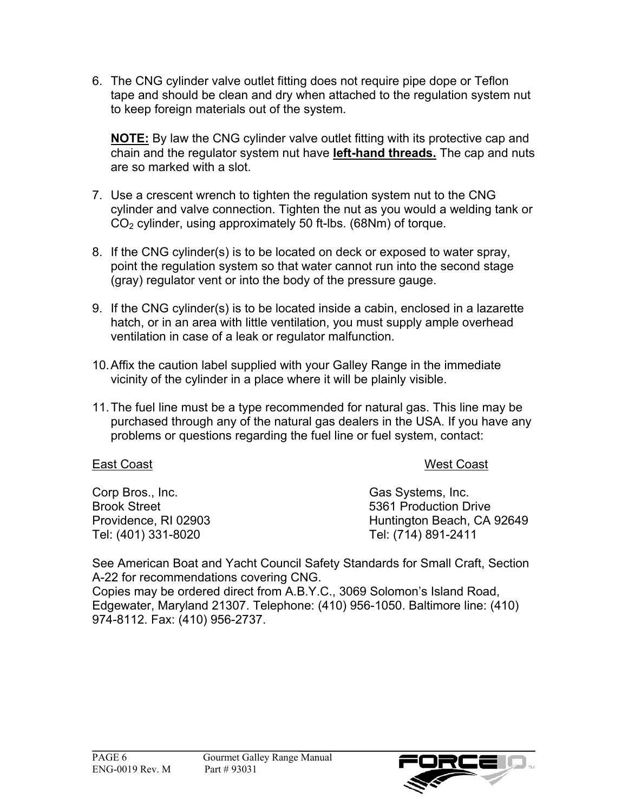6. The CNG cylinder valve outlet fitting does not require pipe dope or Teflon tape and should be clean and dry when attached to the regulation system nut to keep foreign materials out of the system.

**NOTE:** By law the CNG cylinder valve outlet fitting with its protective cap and chain and the regulator system nut have **left-hand threads.** The cap and nuts are so marked with a slot.

- 7. Use a crescent wrench to tighten the regulation system nut to the CNG cylinder and valve connection. Tighten the nut as you would a welding tank or CO<sub>2</sub> cylinder, using approximately 50 ft-lbs. (68Nm) of torque.
- 8. If the CNG cylinder(s) is to be located on deck or exposed to water spray, point the regulation system so that water cannot run into the second stage (gray) regulator vent or into the body of the pressure gauge.
- 9. If the CNG cylinder(s) is to be located inside a cabin, enclosed in a lazarette hatch, or in an area with little ventilation, you must supply ample overhead ventilation in case of a leak or regulator malfunction.
- 10. Affix the caution label supplied with your Galley Range in the immediate vicinity of the cylinder in a place where it will be plainly visible.
- 11. The fuel line must be a type recommended for natural gas. This line may be purchased through any of the natural gas dealers in the USA. If you have any problems or questions regarding the fuel line or fuel system, contact:

#### East Coast West Coast

Corp Bros., Inc. Gas Systems, Inc. Tel: (401) 331-8020 Tel: (714) 891-2411

Brook Street 5361 Production Drive Providence, RI 02903 **Huntington Beach, CA 92649** 

See American Boat and Yacht Council Safety Standards for Small Craft, Section A-22 for recommendations covering CNG.

Copies may be ordered direct from A.B.Y.C., 3069 Solomon's Island Road, Edgewater, Maryland 21307. Telephone: (410) 956-1050. Baltimore line: (410) 974-8112. Fax: (410) 956-2737.

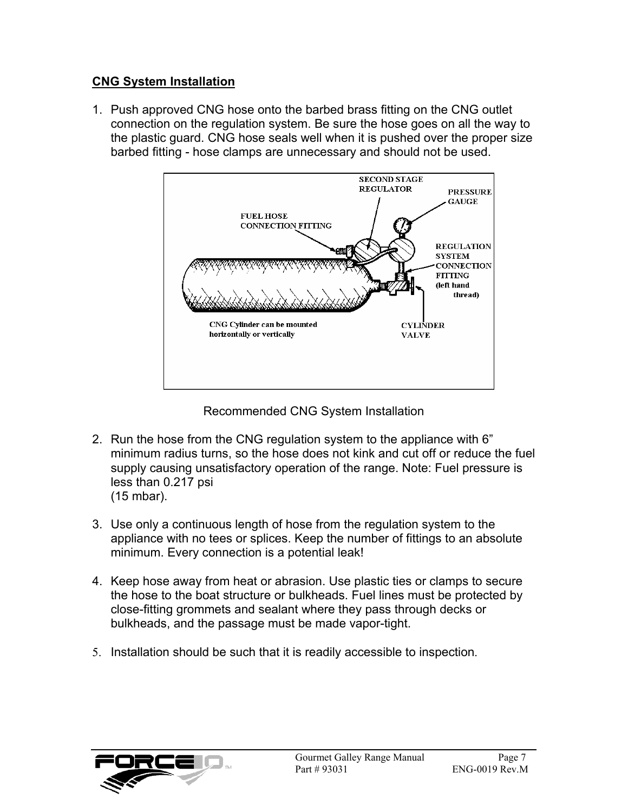#### **CNG System Installation**

1. Push approved CNG hose onto the barbed brass fitting on the CNG outlet connection on the regulation system. Be sure the hose goes on all the way to the plastic guard. CNG hose seals well when it is pushed over the proper size barbed fitting - hose clamps are unnecessary and should not be used.



Recommended CNG System Installation

- 2. Run the hose from the CNG regulation system to the appliance with 6" minimum radius turns, so the hose does not kink and cut off or reduce the fuel supply causing unsatisfactory operation of the range. Note: Fuel pressure is less than 0.217 psi (15 mbar).
- 3. Use only a continuous length of hose from the regulation system to the appliance with no tees or splices. Keep the number of fittings to an absolute minimum. Every connection is a potential leak!
- 4. Keep hose away from heat or abrasion. Use plastic ties or clamps to secure the hose to the boat structure or bulkheads. Fuel lines must be protected by close-fitting grommets and sealant where they pass through decks or bulkheads, and the passage must be made vapor-tight.
- 5. Installation should be such that it is readily accessible to inspection.

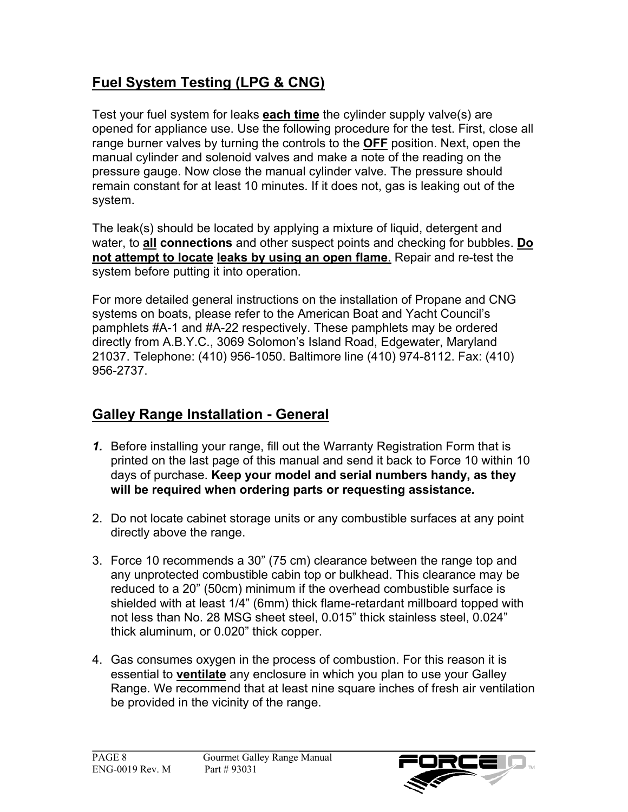# **Fuel System Testing (LPG & CNG)**

Test your fuel system for leaks **each time** the cylinder supply valve(s) are opened for appliance use. Use the following procedure for the test. First, close all range burner valves by turning the controls to the **OFF** position. Next, open the manual cylinder and solenoid valves and make a note of the reading on the pressure gauge. Now close the manual cylinder valve. The pressure should remain constant for at least 10 minutes. If it does not, gas is leaking out of the system.

The leak(s) should be located by applying a mixture of liquid, detergent and water, to **all connections** and other suspect points and checking for bubbles. **Do not attempt to locate leaks by using an open flame**. Repair and re-test the system before putting it into operation.

For more detailed general instructions on the installation of Propane and CNG systems on boats, please refer to the American Boat and Yacht Council's pamphlets #A-1 and #A-22 respectively. These pamphlets may be ordered directly from A.B.Y.C., 3069 Solomon's Island Road, Edgewater, Maryland 21037. Telephone: (410) 956-1050. Baltimore line (410) 974-8112. Fax: (410) 956-2737.

# **Galley Range Installation - General**

- *1.* Before installing your range, fill out the Warranty Registration Form that is printed on the last page of this manual and send it back to Force 10 within 10 days of purchase. **Keep your model and serial numbers handy, as they will be required when ordering parts or requesting assistance***.*
- 2. Do not locate cabinet storage units or any combustible surfaces at any point directly above the range.
- 3. Force 10 recommends a 30" (75 cm) clearance between the range top and any unprotected combustible cabin top or bulkhead. This clearance may be reduced to a 20" (50cm) minimum if the overhead combustible surface is shielded with at least 1/4" (6mm) thick flame-retardant millboard topped with not less than No. 28 MSG sheet steel, 0.015" thick stainless steel, 0.024" thick aluminum, or 0.020" thick copper.
- 4. Gas consumes oxygen in the process of combustion. For this reason it is essential to **ventilate** any enclosure in which you plan to use your Galley Range. We recommend that at least nine square inches of fresh air ventilation be provided in the vicinity of the range.

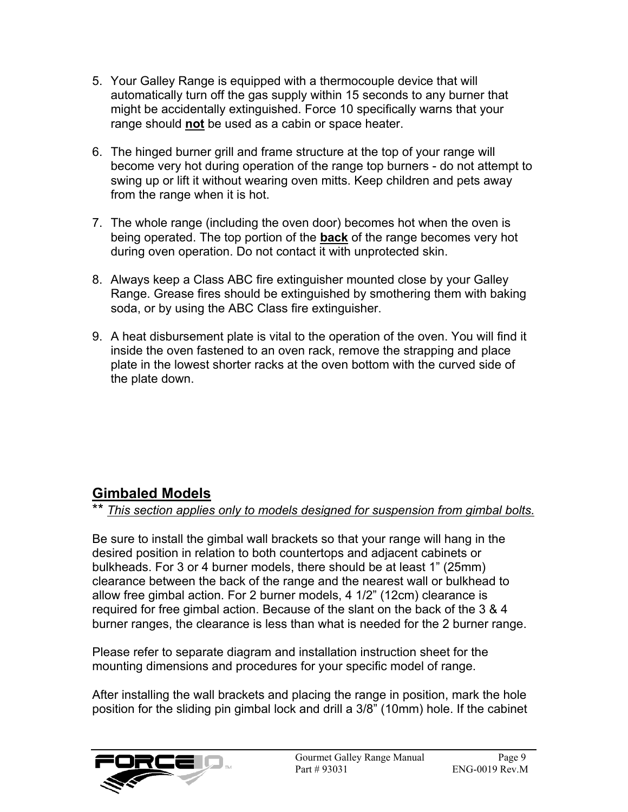- 5. Your Galley Range is equipped with a thermocouple device that will automatically turn off the gas supply within 15 seconds to any burner that might be accidentally extinguished. Force 10 specifically warns that your range should **not** be used as a cabin or space heater.
- 6. The hinged burner grill and frame structure at the top of your range will become very hot during operation of the range top burners - do not attempt to swing up or lift it without wearing oven mitts. Keep children and pets away from the range when it is hot.
- 7. The whole range (including the oven door) becomes hot when the oven is being operated. The top portion of the **back** of the range becomes very hot during oven operation. Do not contact it with unprotected skin.
- 8. Always keep a Class ABC fire extinguisher mounted close by your Galley Range. Grease fires should be extinguished by smothering them with baking soda, or by using the ABC Class fire extinguisher.
- 9. A heat disbursement plate is vital to the operation of the oven. You will find it inside the oven fastened to an oven rack, remove the strapping and place plate in the lowest shorter racks at the oven bottom with the curved side of the plate down.

## **Gimbaled Models**

### \*\* *This section applies only to models designed for suspension from gimbal bolts.*

Be sure to install the gimbal wall brackets so that your range will hang in the desired position in relation to both countertops and adjacent cabinets or bulkheads. For 3 or 4 burner models, there should be at least 1" (25mm) clearance between the back of the range and the nearest wall or bulkhead to allow free gimbal action. For 2 burner models, 4 1/2" (12cm) clearance is required for free gimbal action. Because of the slant on the back of the 3 & 4 burner ranges, the clearance is less than what is needed for the 2 burner range.

Please refer to separate diagram and installation instruction sheet for the mounting dimensions and procedures for your specific model of range.

After installing the wall brackets and placing the range in position, mark the hole position for the sliding pin gimbal lock and drill a 3/8" (10mm) hole. If the cabinet

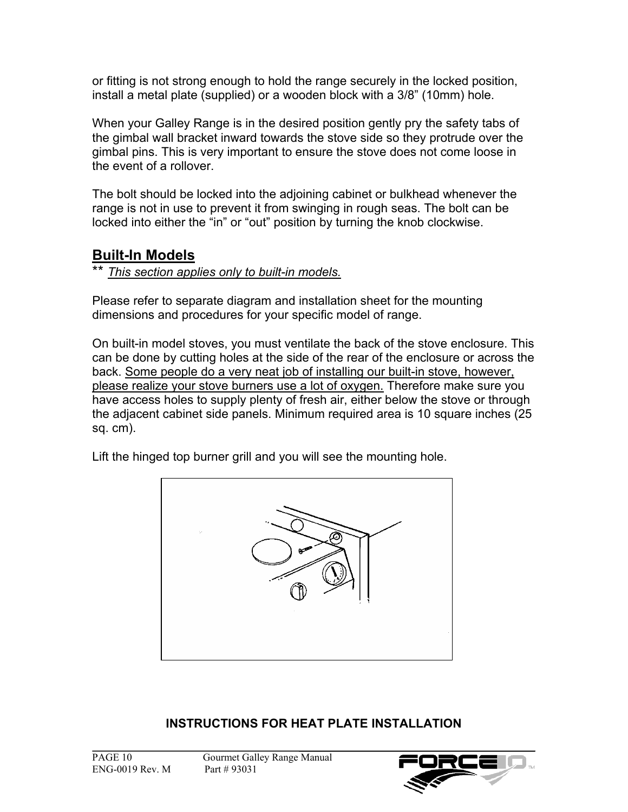or fitting is not strong enough to hold the range securely in the locked position, install a metal plate (supplied) or a wooden block with a 3/8" (10mm) hole.

When your Galley Range is in the desired position gently pry the safety tabs of the gimbal wall bracket inward towards the stove side so they protrude over the gimbal pins. This is very important to ensure the stove does not come loose in the event of a rollover.

The bolt should be locked into the adjoining cabinet or bulkhead whenever the range is not in use to prevent it from swinging in rough seas. The bolt can be locked into either the "in" or "out" position by turning the knob clockwise.

### **Built-In Models**

\*\* *This section applies only to built-in models.*

Please refer to separate diagram and installation sheet for the mounting dimensions and procedures for your specific model of range.

On built-in model stoves, you must ventilate the back of the stove enclosure. This can be done by cutting holes at the side of the rear of the enclosure or across the back. Some people do a very neat job of installing our built-in stove, however, please realize your stove burners use a lot of oxygen. Therefore make sure you have access holes to supply plenty of fresh air, either below the stove or through the adjacent cabinet side panels. Minimum required area is 10 square inches (25 sq. cm).

Lift the hinged top burner grill and you will see the mounting hole.



### **INSTRUCTIONS FOR HEAT PLATE INSTALLATION**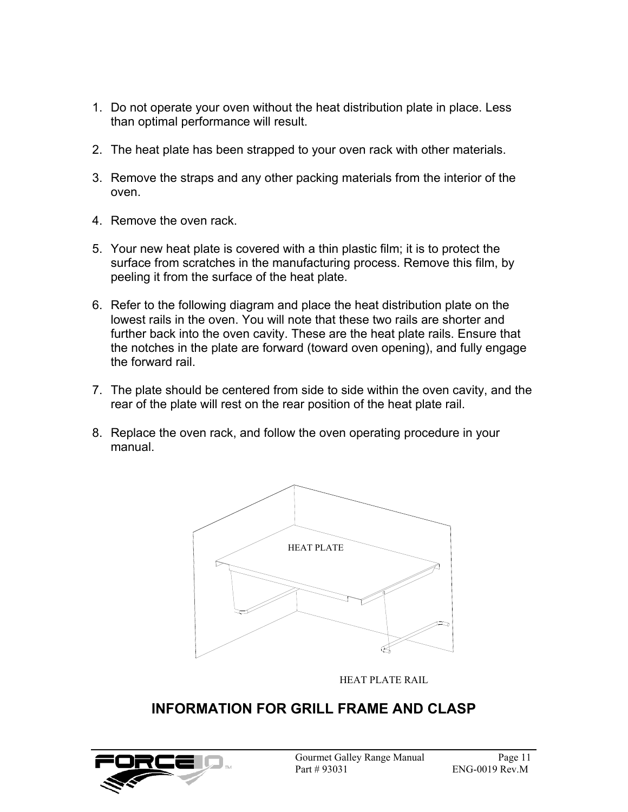- 1. Do not operate your oven without the heat distribution plate in place. Less than optimal performance will result.
- 2. The heat plate has been strapped to your oven rack with other materials.
- 3. Remove the straps and any other packing materials from the interior of the oven.
- 4. Remove the oven rack.
- 5. Your new heat plate is covered with a thin plastic film; it is to protect the surface from scratches in the manufacturing process. Remove this film, by peeling it from the surface of the heat plate.
- 6. Refer to the following diagram and place the heat distribution plate on the lowest rails in the oven. You will note that these two rails are shorter and further back into the oven cavity. These are the heat plate rails. Ensure that the notches in the plate are forward (toward oven opening), and fully engage the forward rail.
- 7. The plate should be centered from side to side within the oven cavity, and the rear of the plate will rest on the rear position of the heat plate rail.
- 8. Replace the oven rack, and follow the oven operating procedure in your manual.



HEAT PLATE RAIL

## **INFORMATION FOR GRILL FRAME AND CLASP**

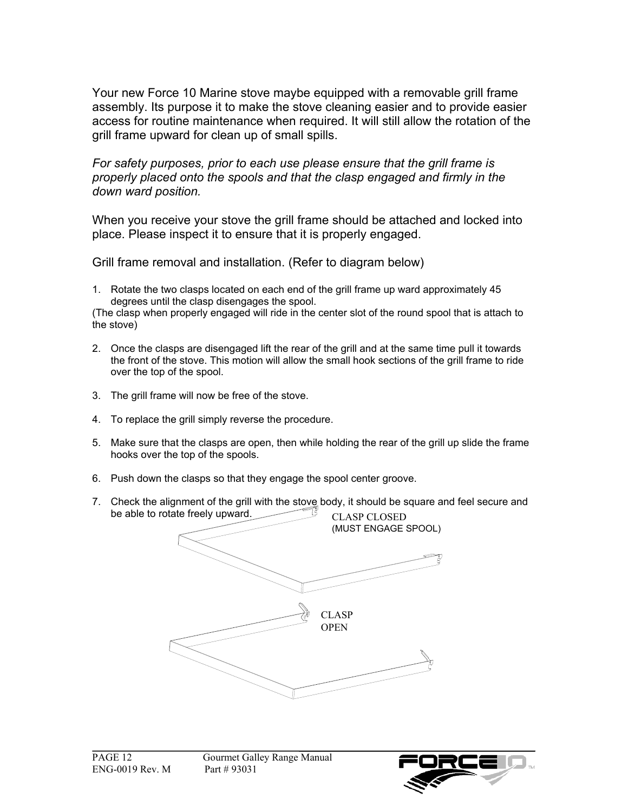Your new Force 10 Marine stove maybe equipped with a removable grill frame assembly. Its purpose it to make the stove cleaning easier and to provide easier access for routine maintenance when required. It will still allow the rotation of the grill frame upward for clean up of small spills.

*For safety purposes, prior to each use please ensure that the grill frame is properly placed onto the spools and that the clasp engaged and firmly in the down ward position.* 

When you receive your stove the grill frame should be attached and locked into place. Please inspect it to ensure that it is properly engaged.

Grill frame removal and installation. (Refer to diagram below)

1. Rotate the two clasps located on each end of the grill frame up ward approximately 45 degrees until the clasp disengages the spool.

(The clasp when properly engaged will ride in the center slot of the round spool that is attach to the stove)

- 2. Once the clasps are disengaged lift the rear of the grill and at the same time pull it towards the front of the stove. This motion will allow the small hook sections of the grill frame to ride over the top of the spool.
- 3. The grill frame will now be free of the stove.
- 4. To replace the grill simply reverse the procedure.
- 5. Make sure that the clasps are open, then while holding the rear of the grill up slide the frame hooks over the top of the spools.
- 6. Push down the clasps so that they engage the spool center groove.
- 7. Check the alignment of the grill with the stove body, it should be square and feel secure and be able to rotate freely upward. CLASP CLOSED



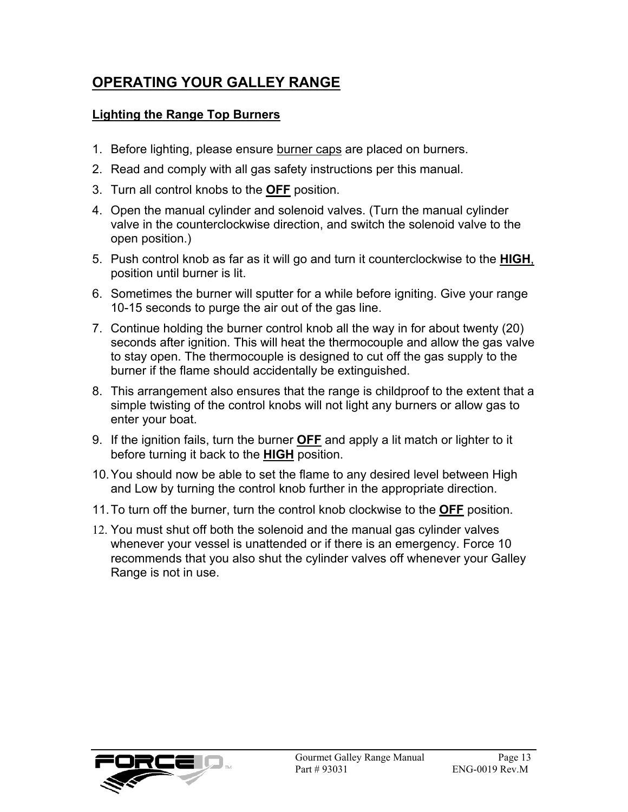## **OPERATING YOUR GALLEY RANGE**

#### **Lighting the Range Top Burners**

- 1. Before lighting, please ensure burner caps are placed on burners.
- 2. Read and comply with all gas safety instructions per this manual.
- 3. Turn all control knobs to the **OFF** position.
- 4. Open the manual cylinder and solenoid valves. (Turn the manual cylinder valve in the counterclockwise direction, and switch the solenoid valve to the open position.)
- 5. Push control knob as far as it will go and turn it counterclockwise to the **HIGH**, position until burner is lit.
- 6. Sometimes the burner will sputter for a while before igniting. Give your range 10-15 seconds to purge the air out of the gas line.
- 7. Continue holding the burner control knob all the way in for about twenty (20) seconds after ignition. This will heat the thermocouple and allow the gas valve to stay open. The thermocouple is designed to cut off the gas supply to the burner if the flame should accidentally be extinguished.
- 8. This arrangement also ensures that the range is childproof to the extent that a simple twisting of the control knobs will not light any burners or allow gas to enter your boat.
- 9. If the ignition fails, turn the burner **OFF** and apply a lit match or lighter to it before turning it back to the **HIGH** position.
- 10. You should now be able to set the flame to any desired level between High and Low by turning the control knob further in the appropriate direction.
- 11. To turn off the burner, turn the control knob clockwise to the **OFF** position.
- 12. You must shut off both the solenoid and the manual gas cylinder valves whenever your vessel is unattended or if there is an emergency. Force 10 recommends that you also shut the cylinder valves off whenever your Galley Range is not in use.

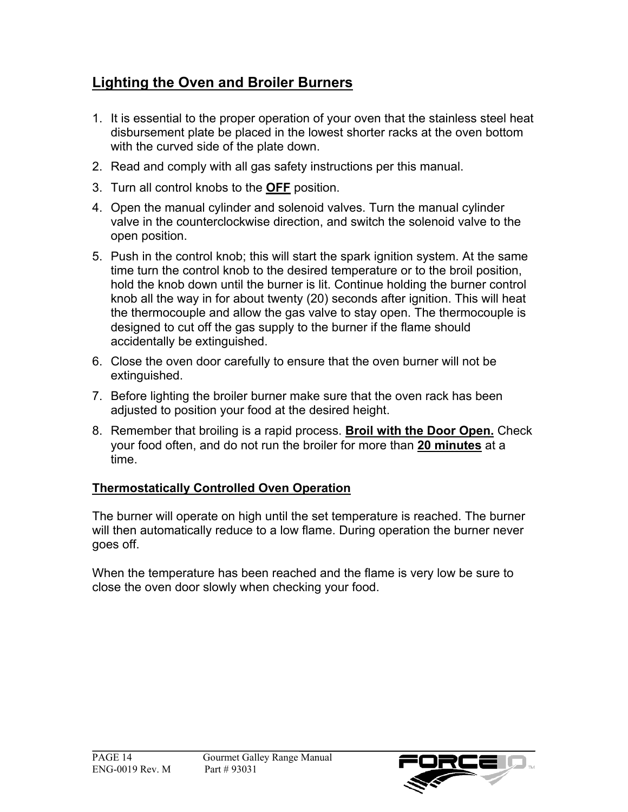# **Lighting the Oven and Broiler Burners**

- 1. It is essential to the proper operation of your oven that the stainless steel heat disbursement plate be placed in the lowest shorter racks at the oven bottom with the curved side of the plate down.
- 2. Read and comply with all gas safety instructions per this manual.
- 3. Turn all control knobs to the **OFF** position.
- 4. Open the manual cylinder and solenoid valves. Turn the manual cylinder valve in the counterclockwise direction, and switch the solenoid valve to the open position.
- 5. Push in the control knob; this will start the spark ignition system. At the same time turn the control knob to the desired temperature or to the broil position, hold the knob down until the burner is lit. Continue holding the burner control knob all the way in for about twenty (20) seconds after ignition. This will heat the thermocouple and allow the gas valve to stay open. The thermocouple is designed to cut off the gas supply to the burner if the flame should accidentally be extinguished.
- 6. Close the oven door carefully to ensure that the oven burner will not be extinguished.
- 7. Before lighting the broiler burner make sure that the oven rack has been adjusted to position your food at the desired height.
- 8. Remember that broiling is a rapid process. **Broil with the Door Open.** Check your food often, and do not run the broiler for more than **20 minutes** at a time.

### **Thermostatically Controlled Oven Operation**

The burner will operate on high until the set temperature is reached. The burner will then automatically reduce to a low flame. During operation the burner never goes off.

When the temperature has been reached and the flame is very low be sure to close the oven door slowly when checking your food.

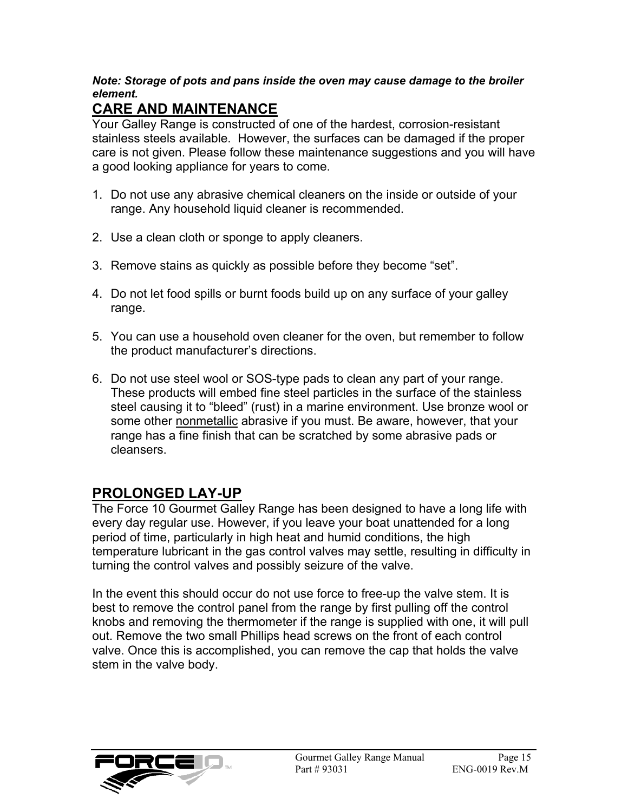#### *Note: Storage of pots and pans inside the oven may cause damage to the broiler element.*

# **CARE AND MAINTENANCE**

Your Galley Range is constructed of one of the hardest, corrosion-resistant stainless steels available. However, the surfaces can be damaged if the proper care is not given. Please follow these maintenance suggestions and you will have a good looking appliance for years to come.

- 1. Do not use any abrasive chemical cleaners on the inside or outside of your range. Any household liquid cleaner is recommended.
- 2. Use a clean cloth or sponge to apply cleaners.
- 3. Remove stains as quickly as possible before they become "set".
- 4. Do not let food spills or burnt foods build up on any surface of your galley range.
- 5. You can use a household oven cleaner for the oven, but remember to follow the product manufacturer's directions.
- 6. Do not use steel wool or SOS-type pads to clean any part of your range. These products will embed fine steel particles in the surface of the stainless steel causing it to "bleed" (rust) in a marine environment. Use bronze wool or some other nonmetallic abrasive if you must. Be aware, however, that your range has a fine finish that can be scratched by some abrasive pads or cleansers.

## **PROLONGED LAY-UP**

The Force 10 Gourmet Galley Range has been designed to have a long life with every day regular use. However, if you leave your boat unattended for a long period of time, particularly in high heat and humid conditions, the high temperature lubricant in the gas control valves may settle, resulting in difficulty in turning the control valves and possibly seizure of the valve.

In the event this should occur do not use force to free-up the valve stem. It is best to remove the control panel from the range by first pulling off the control knobs and removing the thermometer if the range is supplied with one, it will pull out. Remove the two small Phillips head screws on the front of each control valve. Once this is accomplished, you can remove the cap that holds the valve stem in the valve body.

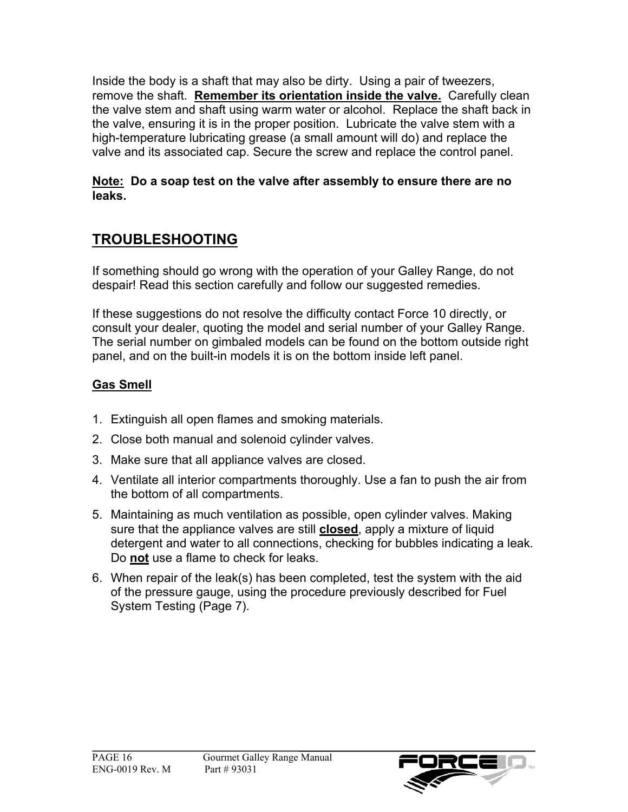Inside the body is a shaft that may also be dirty. Using a pair of tweezers, remove the shaft. **Remember its orientation inside the valve.** Carefully clean the valve stem and shaft using warm water or alcohol. Replace the shaft back in the valve, ensuring it is in the proper position. Lubricate the valve stem with a high-temperature lubricating grease (a small amount will do) and replace the valve and its associated cap. Secure the screw and replace the control panel.

#### **Note: Do a soap test on the valve after assembly to ensure there are no leaks.**

## **TROUBLESHOOTING**

If something should go wrong with the operation of your Galley Range, do not despair! Read this section carefully and follow our suggested remedies.

If these suggestions do not resolve the difficulty contact Force 10 directly, or consult your dealer, quoting the model and serial number of your Galley Range. The serial number on gimbaled models can be found on the bottom outside right panel, and on the built-in models it is on the bottom inside left panel.

### **Gas Smell**

- 1. Extinguish all open flames and smoking materials.
- 2. Close both manual and solenoid cylinder valves.
- 3. Make sure that all appliance valves are closed.
- 4. Ventilate all interior compartments thoroughly. Use a fan to push the air from the bottom of all compartments.
- 5. Maintaining as much ventilation as possible, open cylinder valves. Making sure that the appliance valves are still **closed**, apply a mixture of liquid detergent and water to all connections, checking for bubbles indicating a leak. Do **not** use a flame to check for leaks.
- 6. When repair of the leak(s) has been completed, test the system with the aid of the pressure gauge, using the procedure previously described for Fuel System Testing (Page 7).

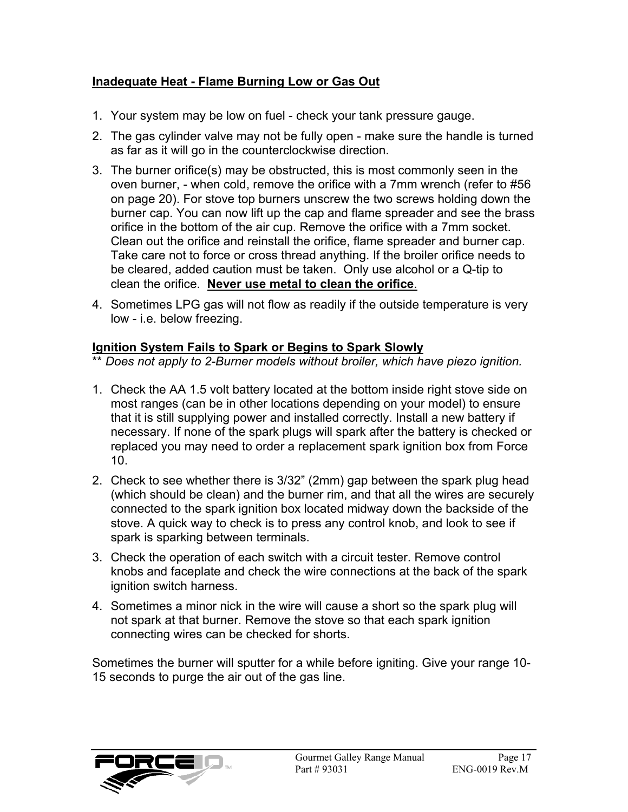#### **Inadequate Heat - Flame Burning Low or Gas Out**

- 1. Your system may be low on fuel check your tank pressure gauge.
- 2. The gas cylinder valve may not be fully open make sure the handle is turned as far as it will go in the counterclockwise direction.
- 3. The burner orifice(s) may be obstructed, this is most commonly seen in the oven burner, - when cold, remove the orifice with a 7mm wrench (refer to #56 on page 20). For stove top burners unscrew the two screws holding down the burner cap. You can now lift up the cap and flame spreader and see the brass orifice in the bottom of the air cup. Remove the orifice with a 7mm socket. Clean out the orifice and reinstall the orifice, flame spreader and burner cap. Take care not to force or cross thread anything. If the broiler orifice needs to be cleared, added caution must be taken. Only use alcohol or a Q-tip to clean the orifice. **Never use metal to clean the orifice**.
- 4. Sometimes LPG gas will not flow as readily if the outside temperature is very low - i.e. below freezing.

#### **Ignition System Fails to Spark or Begins to Spark Slowly**

\*\* *Does not apply to 2-Burner models without broiler, which have piezo ignition.*

- 1. Check the AA 1.5 volt battery located at the bottom inside right stove side on most ranges (can be in other locations depending on your model) to ensure that it is still supplying power and installed correctly. Install a new battery if necessary. If none of the spark plugs will spark after the battery is checked or replaced you may need to order a replacement spark ignition box from Force 10.
- 2. Check to see whether there is 3/32" (2mm) gap between the spark plug head (which should be clean) and the burner rim, and that all the wires are securely connected to the spark ignition box located midway down the backside of the stove. A quick way to check is to press any control knob, and look to see if spark is sparking between terminals.
- 3. Check the operation of each switch with a circuit tester. Remove control knobs and faceplate and check the wire connections at the back of the spark ignition switch harness.
- 4. Sometimes a minor nick in the wire will cause a short so the spark plug will not spark at that burner. Remove the stove so that each spark ignition connecting wires can be checked for shorts.

Sometimes the burner will sputter for a while before igniting. Give your range 10- 15 seconds to purge the air out of the gas line.

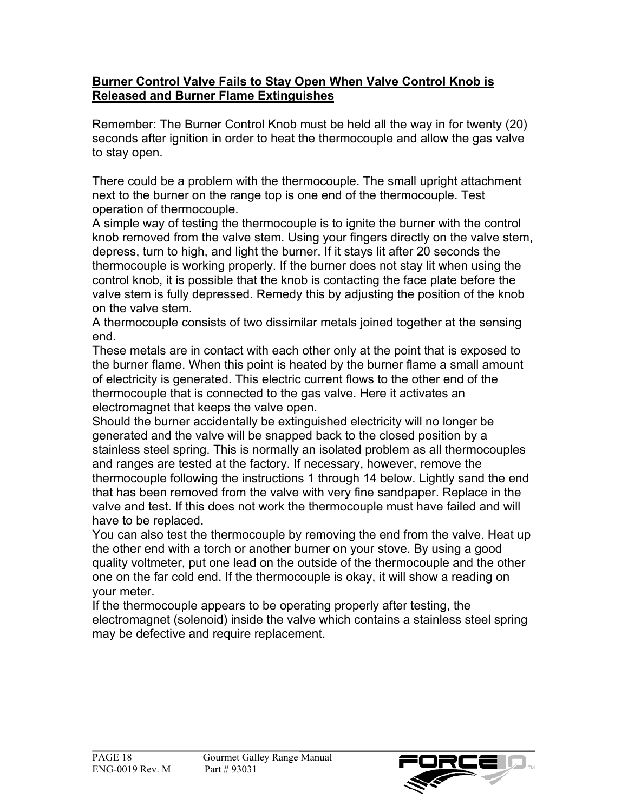#### **Burner Control Valve Fails to Stay Open When Valve Control Knob is Released and Burner Flame Extinguishes**

Remember: The Burner Control Knob must be held all the way in for twenty (20) seconds after ignition in order to heat the thermocouple and allow the gas valve to stay open.

There could be a problem with the thermocouple. The small upright attachment next to the burner on the range top is one end of the thermocouple. Test operation of thermocouple.

A simple way of testing the thermocouple is to ignite the burner with the control knob removed from the valve stem. Using your fingers directly on the valve stem, depress, turn to high, and light the burner. If it stays lit after 20 seconds the thermocouple is working properly. If the burner does not stay lit when using the control knob, it is possible that the knob is contacting the face plate before the valve stem is fully depressed. Remedy this by adjusting the position of the knob on the valve stem.

A thermocouple consists of two dissimilar metals joined together at the sensing end.

These metals are in contact with each other only at the point that is exposed to the burner flame. When this point is heated by the burner flame a small amount of electricity is generated. This electric current flows to the other end of the thermocouple that is connected to the gas valve. Here it activates an electromagnet that keeps the valve open.

Should the burner accidentally be extinguished electricity will no longer be generated and the valve will be snapped back to the closed position by a stainless steel spring. This is normally an isolated problem as all thermocouples and ranges are tested at the factory. If necessary, however, remove the thermocouple following the instructions 1 through 14 below. Lightly sand the end that has been removed from the valve with very fine sandpaper. Replace in the valve and test. If this does not work the thermocouple must have failed and will have to be replaced.

You can also test the thermocouple by removing the end from the valve. Heat up the other end with a torch or another burner on your stove. By using a good quality voltmeter, put one lead on the outside of the thermocouple and the other one on the far cold end. If the thermocouple is okay, it will show a reading on your meter.

If the thermocouple appears to be operating properly after testing, the electromagnet (solenoid) inside the valve which contains a stainless steel spring may be defective and require replacement.

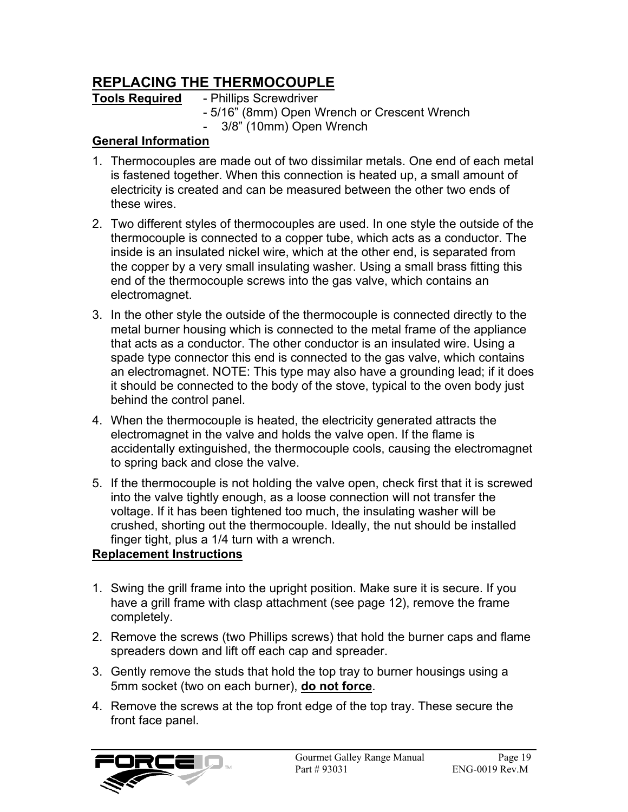## **REPLACING THE THERMOCOUPLE**

### **Tools Required** - Phillips Screwdriver

- 5/16" (8mm) Open Wrench or Crescent Wrench
- 3/8" (10mm) Open Wrench

#### **General Information**

- 1. Thermocouples are made out of two dissimilar metals. One end of each metal is fastened together. When this connection is heated up, a small amount of electricity is created and can be measured between the other two ends of these wires.
- 2. Two different styles of thermocouples are used. In one style the outside of the thermocouple is connected to a copper tube, which acts as a conductor. The inside is an insulated nickel wire, which at the other end, is separated from the copper by a very small insulating washer. Using a small brass fitting this end of the thermocouple screws into the gas valve, which contains an electromagnet.
- 3. In the other style the outside of the thermocouple is connected directly to the metal burner housing which is connected to the metal frame of the appliance that acts as a conductor. The other conductor is an insulated wire. Using a spade type connector this end is connected to the gas valve, which contains an electromagnet. NOTE: This type may also have a grounding lead; if it does it should be connected to the body of the stove, typical to the oven body just behind the control panel.
- 4. When the thermocouple is heated, the electricity generated attracts the electromagnet in the valve and holds the valve open. If the flame is accidentally extinguished, the thermocouple cools, causing the electromagnet to spring back and close the valve.
- 5. If the thermocouple is not holding the valve open, check first that it is screwed into the valve tightly enough, as a loose connection will not transfer the voltage. If it has been tightened too much, the insulating washer will be crushed, shorting out the thermocouple. Ideally, the nut should be installed finger tight, plus a 1/4 turn with a wrench.

### **Replacement Instructions**

- 1. Swing the grill frame into the upright position. Make sure it is secure. If you have a grill frame with clasp attachment (see page 12), remove the frame completely.
- 2. Remove the screws (two Phillips screws) that hold the burner caps and flame spreaders down and lift off each cap and spreader.
- 3. Gently remove the studs that hold the top tray to burner housings using a 5mm socket (two on each burner), **do not force**.
- 4. Remove the screws at the top front edge of the top tray. These secure the front face panel.

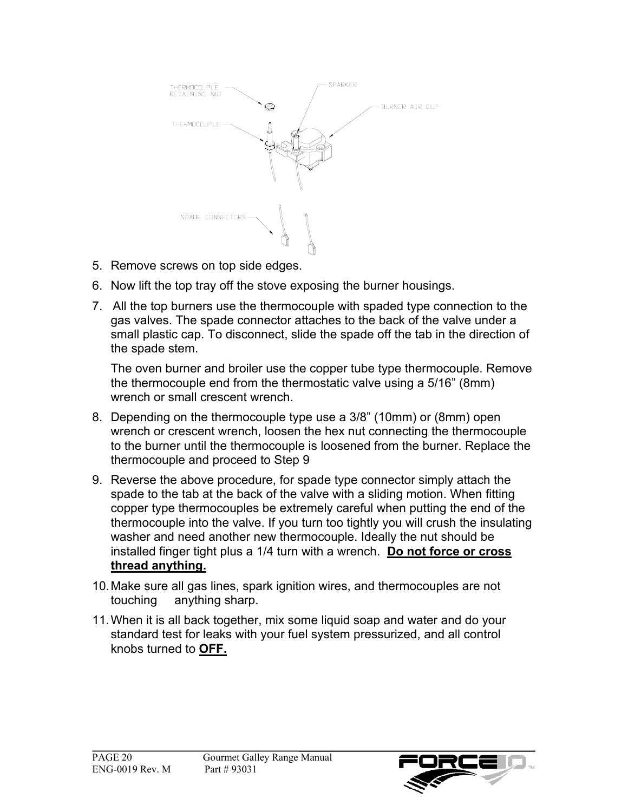

- 5. Remove screws on top side edges.
- 6. Now lift the top tray off the stove exposing the burner housings.
- 7. All the top burners use the thermocouple with spaded type connection to the gas valves. The spade connector attaches to the back of the valve under a small plastic cap. To disconnect, slide the spade off the tab in the direction of the spade stem.

 The oven burner and broiler use the copper tube type thermocouple. Remove the thermocouple end from the thermostatic valve using a 5/16" (8mm) wrench or small crescent wrench.

- 8. Depending on the thermocouple type use a 3/8" (10mm) or (8mm) open wrench or crescent wrench, loosen the hex nut connecting the thermocouple to the burner until the thermocouple is loosened from the burner. Replace the thermocouple and proceed to Step 9
- 9. Reverse the above procedure, for spade type connector simply attach the spade to the tab at the back of the valve with a sliding motion. When fitting copper type thermocouples be extremely careful when putting the end of the thermocouple into the valve. If you turn too tightly you will crush the insulating washer and need another new thermocouple. Ideally the nut should be installed finger tight plus a 1/4 turn with a wrench. **Do not force or cross thread anything.**
- 10. Make sure all gas lines, spark ignition wires, and thermocouples are not touching anything sharp.
- 11. When it is all back together, mix some liquid soap and water and do your standard test for leaks with your fuel system pressurized, and all control knobs turned to **OFF.**

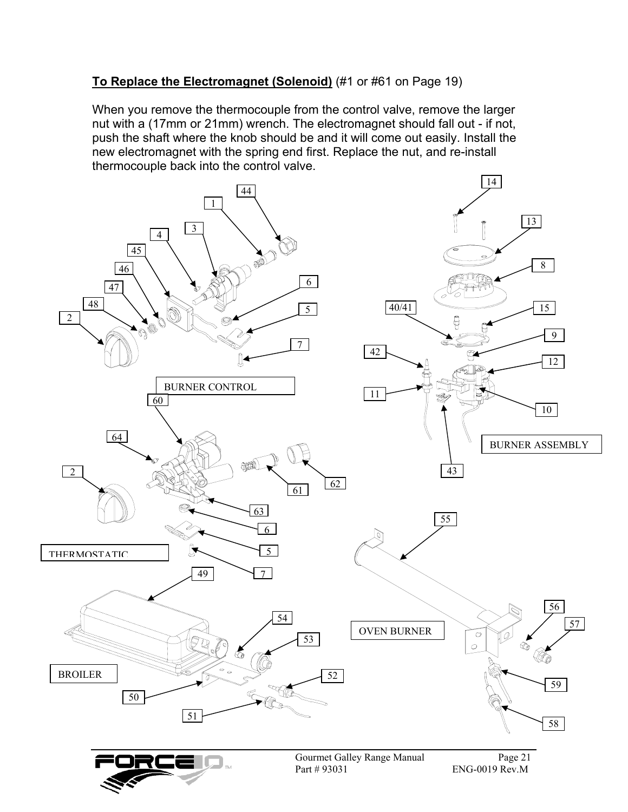#### **To Replace the Electromagnet (Solenoid)** (#1 or #61 on Page 19)

When you remove the thermocouple from the control valve, remove the larger nut with a (17mm or 21mm) wrench. The electromagnet should fall out - if not, push the shaft where the knob should be and it will come out easily. Install the new electromagnet with the spring end first. Replace the nut, and re-install thermocouple back into the control valve.

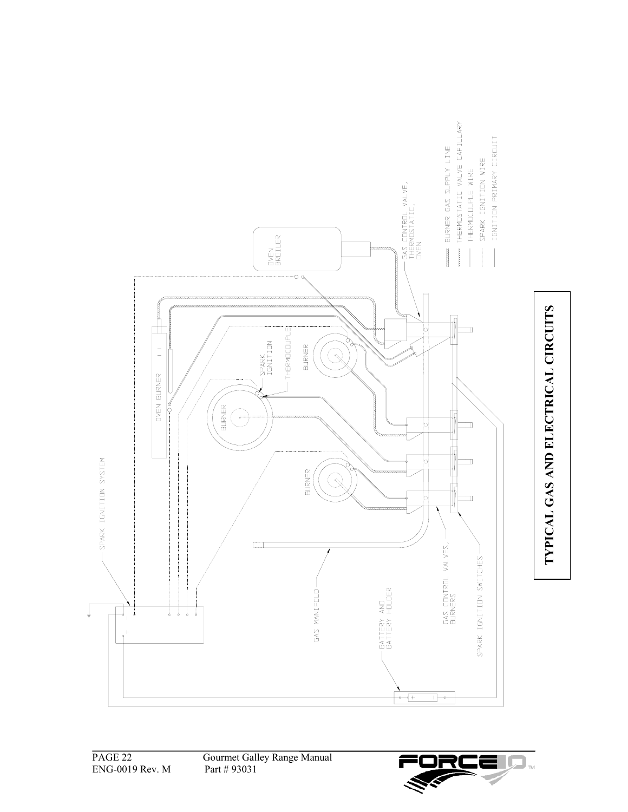

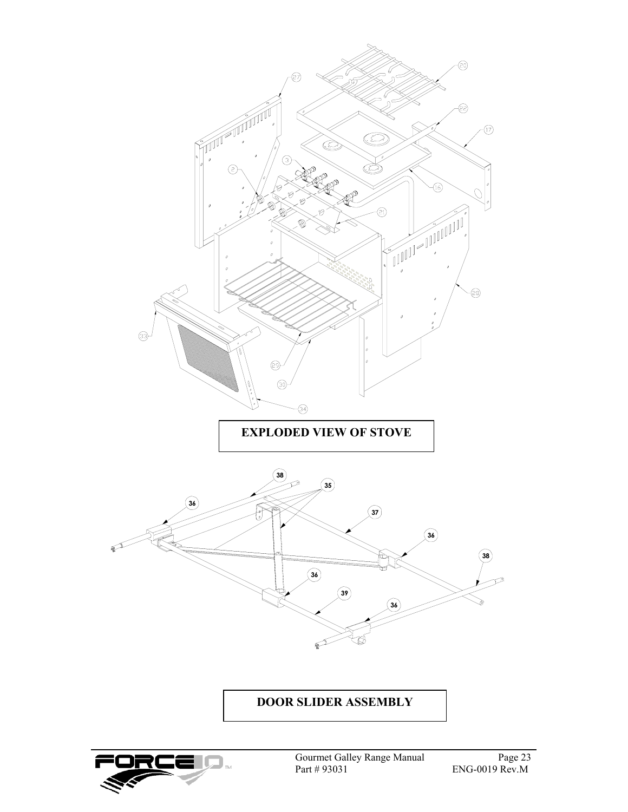

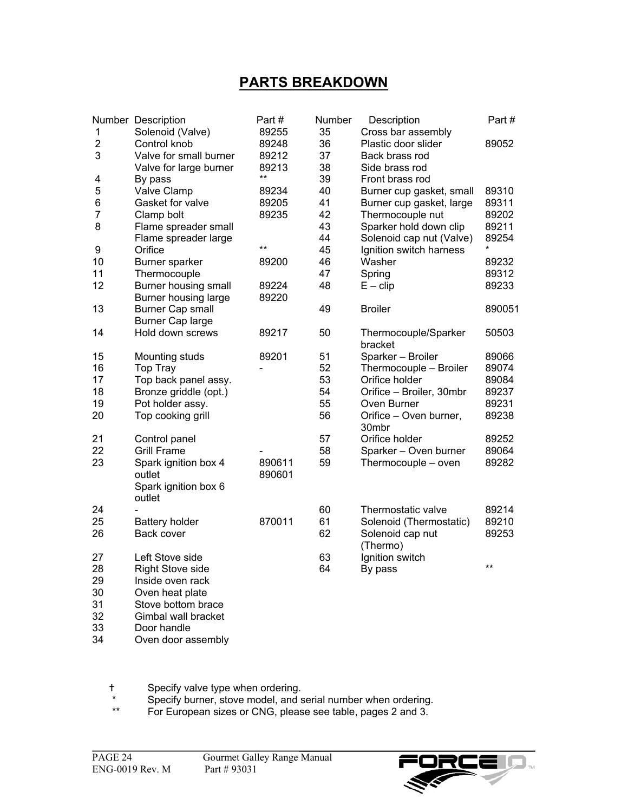## **PARTS BREAKDOWN**

|                         | Number Description      | Part#  | Number | Description                     | Part#  |
|-------------------------|-------------------------|--------|--------|---------------------------------|--------|
| 1                       | Solenoid (Valve)        | 89255  | 35     | Cross bar assembly              |        |
| $\overline{\mathbf{c}}$ | Control knob            | 89248  | 36     | Plastic door slider             | 89052  |
| 3                       | Valve for small burner  | 89212  | 37     | Back brass rod                  |        |
|                         | Valve for large burner  | 89213  | 38     | Side brass rod                  |        |
| 4                       | By pass                 | $***$  | 39     | Front brass rod                 |        |
| 5                       | <b>Valve Clamp</b>      | 89234  | 40     | Burner cup gasket, small        | 89310  |
| 6                       | Gasket for valve        | 89205  | 41     | Burner cup gasket, large        | 89311  |
| $\overline{7}$          | Clamp bolt              | 89235  | 42     | Thermocouple nut                | 89202  |
| 8                       | Flame spreader small    |        | 43     | Sparker hold down clip          | 89211  |
|                         | Flame spreader large    |        | 44     | Solenoid cap nut (Valve)        | 89254  |
| 9                       | Orifice                 | $***$  | 45     | Ignition switch harness         |        |
| 10                      | Burner sparker          | 89200  | 46     | Washer                          | 89232  |
| 11                      | Thermocouple            |        | 47     | Spring                          | 89312  |
| 12                      | Burner housing small    | 89224  | 48     | $E - clip$                      | 89233  |
|                         | Burner housing large    | 89220  |        |                                 |        |
| 13                      | <b>Burner Cap small</b> |        | 49     | <b>Broiler</b>                  | 890051 |
|                         | <b>Burner Cap large</b> |        |        |                                 |        |
| 14                      | Hold down screws        | 89217  | 50     | Thermocouple/Sparker<br>bracket | 50503  |
| 15                      | Mounting studs          | 89201  | 51     | Sparker - Broiler               | 89066  |
| 16                      | Top Tray                |        | 52     | Thermocouple - Broiler          | 89074  |
| 17                      | Top back panel assy.    |        | 53     | Orifice holder                  | 89084  |
| 18                      | Bronze griddle (opt.)   |        | 54     | Orifice - Broiler, 30mbr        | 89237  |
| 19                      | Pot holder assy.        |        | 55     | Oven Burner                     | 89231  |
| 20                      | Top cooking grill       |        | 56     | Orifice - Oven burner,          | 89238  |
|                         |                         |        |        | 30mbr                           |        |
| 21                      | Control panel           |        | 57     | Orifice holder                  | 89252  |
| 22                      | <b>Grill Frame</b>      |        | 58     | Sparker - Oven burner           | 89064  |
| 23                      | Spark ignition box 4    | 890611 | 59     | Thermocouple - oven             | 89282  |
|                         | outlet                  | 890601 |        |                                 |        |
|                         | Spark ignition box 6    |        |        |                                 |        |
|                         | outlet                  |        |        |                                 |        |
| 24                      |                         |        | 60     | Thermostatic valve              | 89214  |
| 25                      | <b>Battery holder</b>   | 870011 | 61     | Solenoid (Thermostatic)         | 89210  |
| 26                      | Back cover              |        | 62     | Solenoid cap nut                | 89253  |
|                         |                         |        |        | (Thermo)                        |        |
| 27                      | Left Stove side         |        | 63     | Ignition switch                 |        |
| 28                      | <b>Right Stove side</b> |        | 64     | By pass                         | $***$  |
| 29                      | Inside oven rack        |        |        |                                 |        |
| 30                      | Oven heat plate         |        |        |                                 |        |
| 31                      | Stove bottom brace      |        |        |                                 |        |
| 32                      | Gimbal wall bracket     |        |        |                                 |        |
| 33                      | Door handle             |        |        |                                 |        |

34 Oven door assembly

Specify valve type when ordering.

\* Specify burner, stove model, and serial number when ordering.

\*\* For European sizes or CNG, please see table, pages 2 and 3.

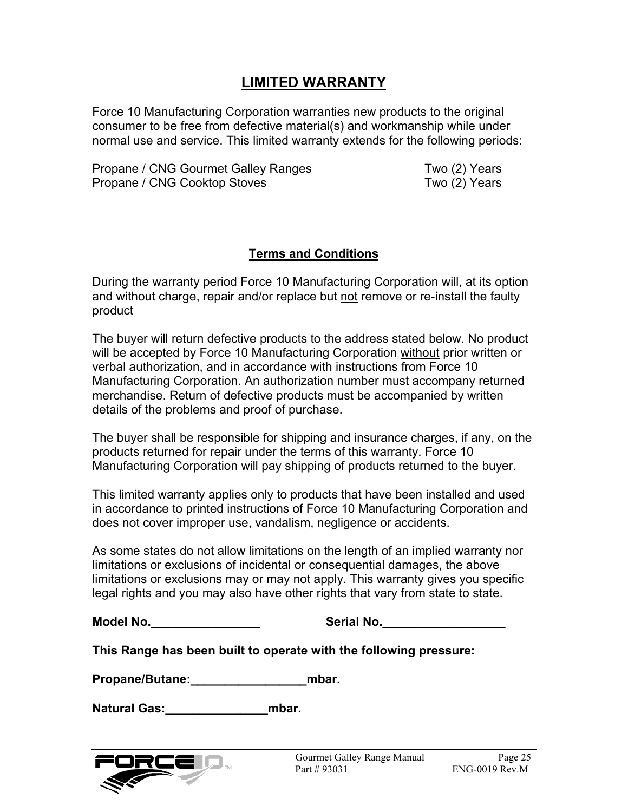### **LIMITED WARRANTY**

Force 10 Manufacturing Corporation warranties new products to the original consumer to be free from defective material(s) and workmanship while under normal use and service. This limited warranty extends for the following periods:

Propane / CNG Gourmet Galley Ranges Two (2) Years Propane / CNG Cooktop Stoves Two (2) Years

#### **Terms and Conditions**

During the warranty period Force 10 Manufacturing Corporation will, at its option and without charge, repair and/or replace but not remove or re-install the faulty product

The buyer will return defective products to the address stated below. No product will be accepted by Force 10 Manufacturing Corporation without prior written or verbal authorization, and in accordance with instructions from Force 10 Manufacturing Corporation. An authorization number must accompany returned merchandise. Return of defective products must be accompanied by written details of the problems and proof of purchase.

The buyer shall be responsible for shipping and insurance charges, if any, on the products returned for repair under the terms of this warranty. Force 10 Manufacturing Corporation will pay shipping of products returned to the buyer.

This limited warranty applies only to products that have been installed and used in accordance to printed instructions of Force 10 Manufacturing Corporation and does not cover improper use, vandalism, negligence or accidents.

As some states do not allow limitations on the length of an implied warranty nor limitations or exclusions of incidental or consequential damages, the above limitations or exclusions may or may not apply. This warranty gives you specific legal rights and you may also have other rights that vary from state to state.

**Model No.\_\_\_\_\_\_\_\_\_\_\_\_\_\_\_\_ Serial No.\_\_\_\_\_\_\_\_\_\_\_\_\_\_\_\_\_\_**

**This Range has been built to operate with the following pressure:**

**Propane/Butane:\_\_\_\_\_\_\_\_\_\_\_\_\_\_\_\_\_mbar.** 

**Natural Gas:\_\_\_\_\_\_\_\_\_\_\_\_\_\_\_mbar.**

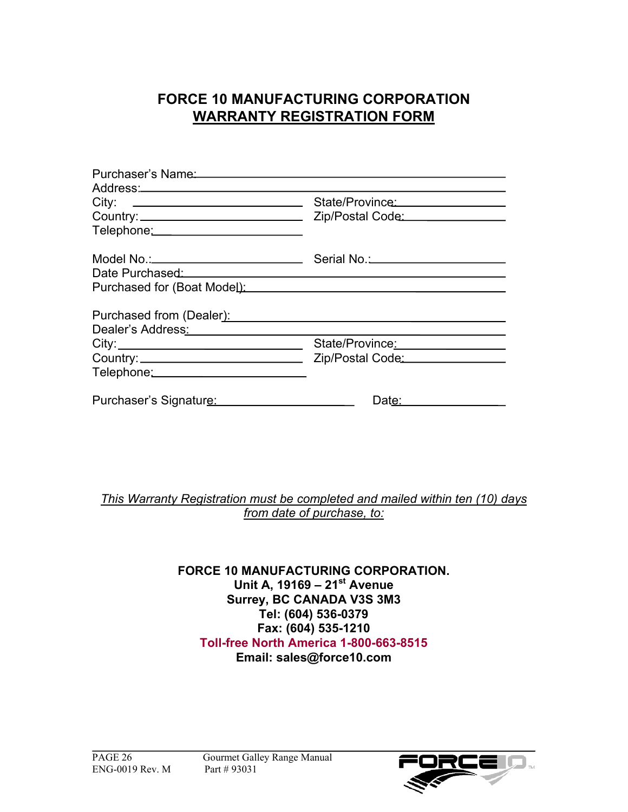## **FORCE 10 MANUFACTURING CORPORATION WARRANTY REGISTRATION FORM**

| Purchaser's Name                                                                                                                                                                                                               |                                   |
|--------------------------------------------------------------------------------------------------------------------------------------------------------------------------------------------------------------------------------|-----------------------------------|
|                                                                                                                                                                                                                                | State/Province: 2000              |
| Country: Country: Country: Country: Country: Country: Country: Country: Country: Country: Country: Country: Country: Country: Country: Country: Country: Country: Country: Country: Country: Country: Country: Country: Countr |                                   |
| Telephone: Telephone:                                                                                                                                                                                                          |                                   |
|                                                                                                                                                                                                                                | Serial No. 2008 Contract No. 2014 |
| Date Purchased: National Purchased: National Purchased: National Purchased: National Purchased: National Purch                                                                                                                 |                                   |
|                                                                                                                                                                                                                                |                                   |
| Purchased from (Dealer):                                                                                                                                                                                                       |                                   |
| Dealer's Address: Note that the set of the set of the set of the set of the set of the set of the set of the set of the set of the set of the set of the set of the set of the set of the set of the set of the set of the set |                                   |
|                                                                                                                                                                                                                                | State/Province:                   |
|                                                                                                                                                                                                                                | Zip/Postal Code: 2000             |
| Telephone: Telephone:                                                                                                                                                                                                          |                                   |
| Purchaser's Signature:                                                                                                                                                                                                         | Date:                             |

#### *This Warranty Registration must be completed and mailed within ten (10) days from date of purchase, to:*

#### **FORCE 10 MANUFACTURING CORPORATION. Unit A, 19169 – 21st Avenue Surrey, BC CANADA V3S 3M3 Tel: (604) 536-0379 Fax: (604) 535-1210 Toll-free North America 1-800-663-8515 Email: sales@force10.com**

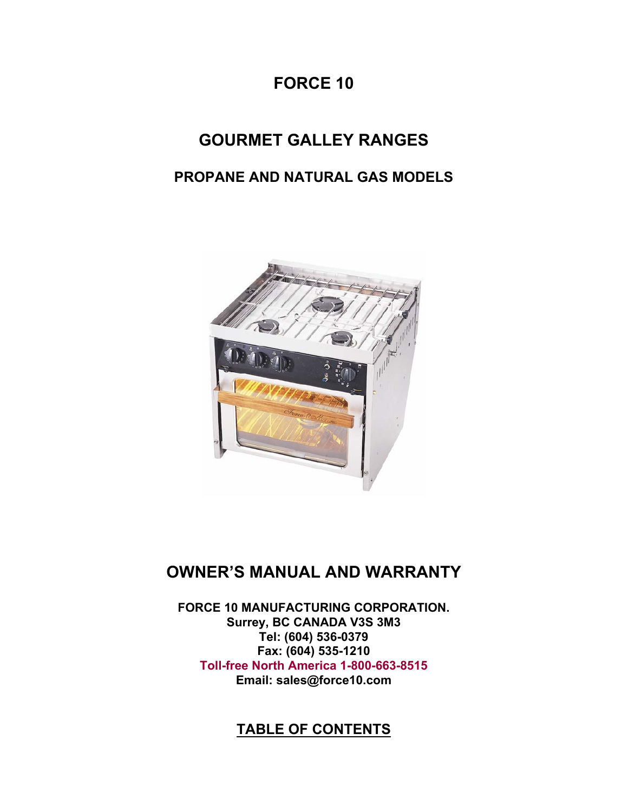# **FORCE 10**

# **GOURMET GALLEY RANGES**

## **PROPANE AND NATURAL GAS MODELS**



# **OWNER'S MANUAL AND WARRANTY**

**FORCE 10 MANUFACTURING CORPORATION. Surrey, BC CANADA V3S 3M3 Tel: (604) 536-0379 Fax: (604) 535-1210 Toll-free North America 1-800-663-8515 Email: sales@force10.com**

## **TABLE OF CONTENTS**